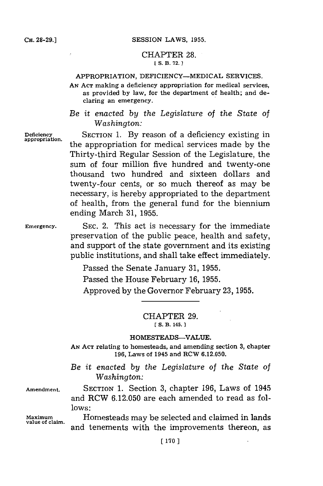# CHAPTER **28. [ S. B. 72. 1**

# APPROPRIATION, DEFICIENCY-MEDICAL SERVICES.

**AN ACT** making a deficiency appropriation for medical services, as provided **by** law, for the department of health; and declaring an emergency.

*Be it enacted by the Legislature of the State of Washington:*

**Deficiency** SECTION 1. **By** reason of a deficiency existing in **appropriation,** the appropriation for medical services made **by** the Thirty-third Regular Session of the Legislature, the sum of four million five hundred and twenty-one thousand two hundred and sixteen dollars and twenty-four cents, or so much thereof as may be necessary, is hereby appropriated to the department of health, from the general fund for the biennium ending March **31, 1955.**

**Emergency. SEC.** 2. This act is necessary for the immediate preservation of the public peace, health and safety, and support of the state government and its existing public institutions, and shall take effect immediately.

Passed the Senate January **31, 1955.**

Passed the House February **16, 1955.**

Approved **by** the Governor February **23, 1955.**

## CHAPTER **29. ES. B. 145. 1**

#### **HOMESTEADS-VALUE.**

**AN ACT** relating to homesteads, and amending section **3,** chapter **196,** Laws of 1945 and RCW **6.12.050.**

*Be it enacted by the Legislature of the State of Washington:*

**Amendment.** SECTION **1.** Section **3,** chapter **196,** Laws of 1945 and RCW **6.12.050** are each amended to read as fol**lows:**

**Maximum** Homesteads may be selected and claimed in lands